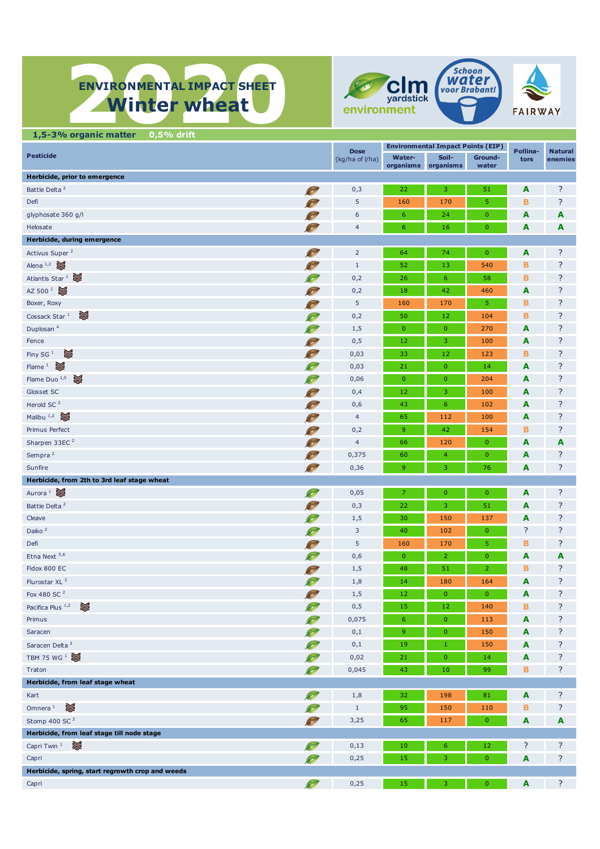# **ENVIRONMENTAL IMPACT SHEET ENVIRONMENTAL IMPACT SHEET Winter wheat**





| 1,5-3% organic matter<br>$0,5%$ drift            |            |                  |                |                                          |                  |                         |         |
|--------------------------------------------------|------------|------------------|----------------|------------------------------------------|------------------|-------------------------|---------|
|                                                  |            | <b>Dose</b>      |                | <b>Environmental Impact Points (EIP)</b> | Pollina-         | <b>Natural</b>          |         |
| <b>Pesticide</b>                                 |            | (kg/ha of l/ha)  | Water-         | Soil-<br>organisms organisms             | Ground-<br>water | tors                    | enemies |
| Herbicide, prior to emergence                    |            |                  |                |                                          |                  |                         |         |
| Battle Delta <sup>2</sup>                        | <b>SEP</b> | 0,3              | 22             | 3                                        | 51               | A                       | ?       |
| Defi                                             |            | 5                | 160            | 170                                      | 5                | в                       | ?       |
| glyphosate 360 g/l                               |            | 6                | 6              | 24                                       | $\mathbf{0}$     | A                       | A       |
| Helosate                                         |            | $\overline{4}$   | 6              | 16                                       | $\mathbf{0}$     | A                       | A       |
| Herbicide, during emergence                      |            |                  |                |                                          |                  |                         |         |
| Activus Super <sup>2</sup>                       | 80         | $\overline{2}$   | 64             | 74                                       | $\mathbf{0}$     | $\overline{\mathbf{A}}$ | ?       |
| Alena <sup>1,2</sup>                             |            | $\,1\,$          | 52             | 13                                       | 540              | в                       | ?       |
| Atlantis Star $1$                                |            | 0,2              | 26             | 6                                        | 58               | в                       | ?       |
| AZ 500 <sup>1</sup>                              |            |                  | 18             | 42                                       | 460              | A                       | ?       |
| Boxer, Roxy                                      |            | 0,2<br>5         | 160            | 170                                      | 5                | в                       | ?       |
| ☀<br>Cossack Star <sup>1</sup>                   |            |                  | 50             |                                          |                  | в                       | ?       |
|                                                  |            | 0,2              |                | 12                                       | 104              |                         |         |
| Duplosan <sup>4</sup>                            | $\sim$     | 1,5              | $\overline{0}$ | $\overline{0}$                           | 270              | A                       | ?<br>?  |
| Fence                                            | 80         | 0,5              | 12             | 3                                        | 100              | A                       |         |
| ☀<br>Finy SG <sup>1</sup><br>Flame $1$ $\approx$ |            | 0,03             | 33             | 12                                       | 123              | в                       | ?       |
|                                                  | $\sim$     | 0,03             | 21             | $\overline{0}$                           | 14               | A                       | ?       |
| Flame Duo $^{1,5}$                               | $\sim$     | 0,06             | $\mathbf{0}$   | $\mathbf 0$                              | 204              | A                       | ?       |
| Glosset SC                                       | 85         | 0,4              | 12             | 3                                        | 100              | A                       | ?       |
| Herold SC <sup>2</sup>                           |            | 0,6              | 43             | $\boldsymbol{6}$                         | 102              | A                       | ?       |
| Malibu $1,2$                                     | S          | $\overline{4}$   | 65             | 112                                      | 100              | A                       | ?       |
| Primus Perfect                                   | S          | 0,2              | 9              | 42                                       | 154              | в                       | ?       |
| Sharpen 33EC <sup>2</sup>                        | S          | $\overline{4}$   | 66             | 120                                      | $\mathbf{0}$     | A                       | A       |
| Sempra <sup>2</sup>                              | 80         | 0,375            | 60             | $\overline{4}$                           | $\mathbf{0}$     | A                       | ?       |
| Sunfire                                          | 80         | 0,36             | 9              | 3                                        | 76               | A                       | ?       |
| Herbicide, from 2th to 3rd leaf stage wheat      |            |                  |                |                                          |                  |                         |         |
| Aurora <sup>1</sup>                              | S          | 0,05             | 7              | $\mathbf{0}$                             | $\mathbf{0}$     | $\overline{\mathbf{A}}$ | ?       |
| Battle Delta <sup>2</sup>                        |            | 0,3              | 22             | 3                                        | 51               | A                       | ?       |
| Cleave                                           |            | 1,5              | 30             | 150                                      | 137              | A                       | ?       |
| Daiko <sup>2</sup>                               | $\sim$     | 3                | 40             | 102                                      | $\mathbf{0}$     | ?                       | ?       |
| Defi                                             |            | 5                | 160            | 170                                      | 5                | в                       | ?       |
| Etna Next <sup>5,6</sup>                         |            | 0,6              | $\mathbf{0}$   | $\overline{2}$                           | $\mathbf{0}$     | A                       | A       |
| Fidox 800 EC                                     | S          | 1,5              | 48             | 51                                       | $\overline{2}$   | в                       | ?       |
| Flurostar XL <sup>2</sup>                        | S          | 1,8              | 14             | 180                                      | 164              | A                       | ?       |
| Fox 480 SC <sup>2</sup>                          | <b>SOF</b> | 1,5              | 12             | $\mathbf 0$                              | $\mathbf{0}$     | A                       | ?       |
| Pacifica Plus 1,2<br>☀                           |            | 0,5              | 15             | 12                                       | 140              | в                       | ?       |
| Primus                                           | $\infty$   | 0,075            | $6 \,$         | $\mathbf{O}$                             | 113              | A                       | ?       |
| Saracen                                          | $\sim$     | 0,1              | 9              | $\mathbf{0}$                             | 150              | A                       | ?       |
| Saracen Delta <sup>2</sup>                       | $\infty$   | $\mathbf{0{,}1}$ | 19             | $\mathbf{1}$                             | 150              | A                       | ?       |
| TBM 75 WG <sup>1</sup>                           |            | 0,02             | 21             | $\mathbf 0$                              | 14               | A                       | ?       |
| Traton                                           | <b>S</b>   | 0,045            | 43             | 10                                       | 99               | B                       | ?       |
| Herbicide, from leaf stage wheat                 |            |                  |                |                                          |                  |                         |         |
| Kart                                             | Ø          | 1,8              | 32             | 198                                      | 81               | A                       | ?       |
| ⊠<br>Omnera <sup>1</sup>                         |            | $\mathbf{1}$     | 95             | 150                                      | 110              | в                       | ?       |
| Stomp 400 SC <sup>2</sup>                        |            | 3,25             | 65             | 117                                      | $\pmb{0}$        | A                       | A       |
| Herbicide, from leaf stage till node stage       |            |                  |                |                                          |                  |                         |         |
| ☀<br>Capri Twin <sup>1</sup>                     | $\infty$   | 0,13             | 10             | 6                                        | 12               | ?                       | ?       |
| Capri                                            |            | 0,25             | 15             | 3                                        | $\pmb{0}$        | A                       | ?       |
| Herbicide, spring, start regrowth crop and weeds |            |                  |                |                                          |                  |                         |         |
| Capri                                            | <b>RO</b>  | 0,25             | 15             | 3                                        | $\mathbf{0}$     | A                       | ?       |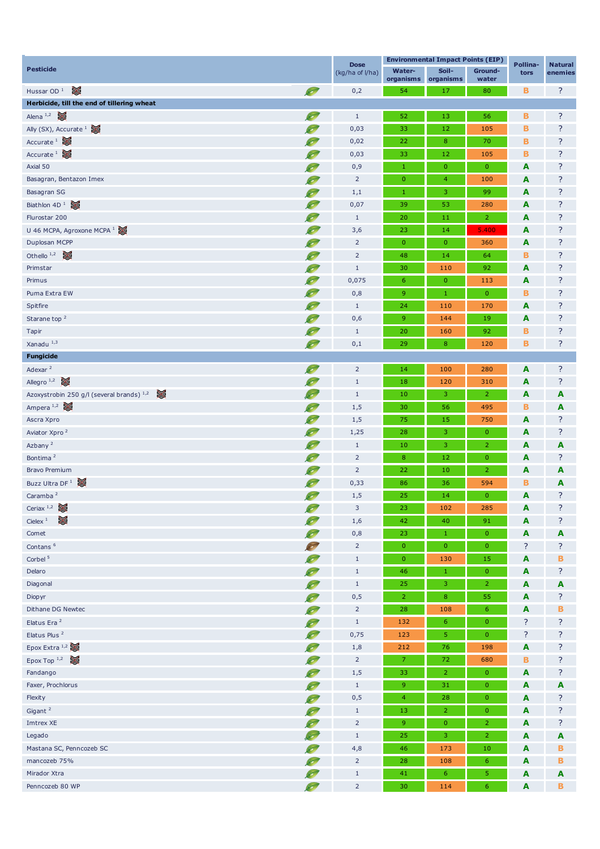| <b>Pesticide</b>                            |           | <b>Dose</b>     | <b>Environmental Impact Points (EIP)</b> |                    |                  | Pollina- | <b>Natural</b> |  |
|---------------------------------------------|-----------|-----------------|------------------------------------------|--------------------|------------------|----------|----------------|--|
|                                             |           | (kg/ha of I/ha) | <b>Water-</b><br>organisms               | Soil-<br>organisms | Ground-<br>water | tors     | enemies        |  |
| ≋<br>Hussar OD <sup>1</sup>                 | O         | 0,2             | 54                                       | 17                 | 80               | в        | ?              |  |
| Herbicide, till the end of tillering wheat  |           |                 |                                          |                    |                  |          |                |  |
| Alena <sup>1,2</sup>                        | Ø.        | $\mathbf{1}$    | 52                                       | 13                 | 56               | в        | ?              |  |
| Ally (SX), Accurate $\frac{1}{2}$           |           | 0,03            | 33                                       | 12                 | 105              | B        | ?              |  |
| Accurate $\frac{1}{2}$                      |           | 0,02            | 22                                       | $\bf8$             | 70               | в        | ?              |  |
| Accurate $\frac{1}{2}$                      |           | 0,03            | 33                                       | 12                 | 105              | в        | ?              |  |
| Axial 50                                    |           | 0,9             | $\mathbf{1}$                             | $\mathbf{0}$       | $\mathbf{0}$     | A        | ?              |  |
| Basagran, Bentazon Imex                     |           | $\overline{2}$  | $\mathbf 0$                              | $\overline{4}$     | 100              | A        | ?              |  |
| Basagran SG                                 | $\sim$    | 1,1             | $\mathbf{1}$                             | 3                  | 99               | A        | ?              |  |
| Biathlon $4D^1$                             |           | 0,07            | 39                                       | 53                 | 280              | A        | ?              |  |
| Flurostar 200                               |           | $\mathbf{1}$    | 20                                       | 11                 | $\overline{2}$   | A        | ?              |  |
| U 46 MCPA, Agroxone MCPA <sup>1</sup>       |           | 3,6             | 23                                       | 14                 | 5.400            | A        | ?              |  |
| Duplosan MCPP                               |           | $\overline{2}$  | $\mathbf{0}$                             | $\mathbf{0}$       | 360              | A        | ?              |  |
| Othello $1,2$                               | $\bullet$ | $\overline{2}$  | 48                                       | 14                 | 64               | в        | ?              |  |
| Primstar                                    |           | $1\,$           | 30                                       | 110                | 92               | A        | ?              |  |
| Primus                                      | $\sim$    | 0,075           | 6                                        | $\mathbf{0}$       | 113              | A        | ?              |  |
| Puma Extra EW                               | Ø         | 0,8             | 9                                        | $1\,$              | $\overline{0}$   | В        | ?              |  |
| Spitfire                                    |           | $\mathbf{1}$    | 24                                       | 110                | 170              | A        | ?              |  |
| Starane top <sup>2</sup>                    |           | 0,6             | 9                                        | 144                | 19               | A        | ?              |  |
| Tapir                                       |           | $\mathbf{1}$    | 20                                       | 160                | 92               | в        | ?              |  |
| Xanadu <sup>1,3</sup>                       |           | 0,1             | 29                                       | $\boldsymbol{8}$   | 120              | B        | ?              |  |
| <b>Fungicide</b>                            |           |                 |                                          |                    |                  |          |                |  |
| Adexar $^2$                                 | <b>S</b>  | $\overline{2}$  | 14                                       | 100                | 280              | A        | ?              |  |
| Allegro <sup>1,2</sup>                      |           | $\mathbf{1}$    | 18                                       | 120                | 310              | A        | ?              |  |
| Azoxystrobin 250 g/l (several brands) $1,2$ |           | $\mathbf{1}$    | 10                                       | 3                  | 2                | A        | A              |  |
| Ampera $1,2$                                |           | 1,5             | 30                                       | 56                 | 495              | в        | A              |  |
| Ascra Xpro                                  | $\bullet$ | 1,5             | 75                                       | 15                 | 750              | A        | ?              |  |
| Aviator Xpro <sup>2</sup>                   | <b>S</b>  | 1,25            | 28                                       | 3                  | $\mathbf{0}$     | A        | ?              |  |
| Azbany <sup>2</sup>                         | Ø         | $\mathbf{1}$    | 10                                       | 3                  | 2                | A        | A              |  |
| Bontima <sup>2</sup>                        | Ø,        | $\overline{2}$  | 8                                        | 12                 | $\mathbf{0}$     | A        | ?              |  |
| <b>Bravo Premium</b>                        | $\sim$    | $\overline{2}$  | 22                                       | 10                 | $\overline{2}$   | A        | A              |  |
| Buzz Ultra DF <sup>1</sup>                  | $\sim$    | 0,33            | 86                                       | 36                 | 594              | в        | A              |  |
| Caramba <sup>2</sup>                        | S         | 1,5             | 25                                       | 14                 | $\mathbf{0}$     | A        | ?              |  |
| Ceriax $1,2$                                | Ø         | 3               | 23                                       | 102                | <b>285</b>       | A        |                |  |
| ⊠<br>Cielex $1$                             | S         | 1,6             | 42                                       | 40                 | 91               | A        | ?              |  |
| Comet                                       | $\infty$  | 0,8             | 23                                       | $\,1\,$            | $\mathbf{0}$     | A        | A              |  |
| Contans $6$                                 | S         | $\overline{2}$  | $\mathbf{0}$                             | $\pmb{0}$          | $\mathbf{0}$     | ?        | ?              |  |
| Corbel <sup>5</sup>                         | $\bullet$ | $1\,$           | $\mathbf{0}$                             | 130                | 15               | A        | в              |  |
| Delaro                                      | Ø         | $\,1\,$         | 46                                       | $1\,$              | $\mathbf{0}$     | A        | ?              |  |
| Diagonal                                    | S         | $\,1\,$         | 25                                       | 3                  | $\overline{2}$   | A        | A              |  |
| Diopyr                                      | $\sim$    | 0,5             | $\overline{2}$                           | $\bf8$             | 55               | A        | ?              |  |
| Dithane DG Newtec                           | $\sim$    | $\overline{2}$  | 28                                       | 108                | 6                | A        | в              |  |
| Elatus Era <sup>2</sup>                     | $\sim$    | $1\,$           | 132                                      | 6                  | $\overline{0}$   | ?        | ?              |  |
| Elatus Plus <sup>2</sup>                    | S         | 0,75            | 123                                      | 5 <sub>1</sub>     | $\overline{0}$   | ?        | ?              |  |
| Epox Extra $1,2$                            | $\bullet$ | 1,8             | 212                                      | 76                 | 198              | A        | ?              |  |
| Epox Top $1,2$                              | S         | $\overline{2}$  | 7                                        | 72                 | 680              | в        | ?              |  |
| Fandango                                    | $\bullet$ | 1,5             | 33                                       | $\overline{2}$     | $\mathbf{0}$     | A        | ?              |  |
| Faxer, Prochlorus                           | S         | $\mathbf{1}$    | 9                                        | 31                 | $\mathbf{0}$     | A        | A              |  |
| Flexity                                     | S         | 0,5             | $\overline{4}$                           | 28                 | $\overline{0}$   | A        | ?              |  |
| Gigant <sup>2</sup>                         | S         | $\mathbf{1}$    | 13                                       | $\overline{2}$     | $\overline{0}$   | A        | ?              |  |
| <b>Imtrex XE</b>                            | S         | $\overline{2}$  | 9                                        | $\mathbf{0}$       | $\overline{2}$   | A        | ?              |  |
| Legado                                      |           | $1\,$           | 25                                       | 3                  | $\overline{2}$   | A        | A              |  |
| Mastana SC, Penncozeb SC                    |           | 4,8             | 46                                       | 173                | 10               | A        | в              |  |
| mancozeb 75%                                | $\sim$    | $\overline{2}$  | 28                                       | 108                | 6                | A        | в              |  |
| Mirador Xtra                                | $\bullet$ | $\mathbf{1}$    | 41                                       | $6\phantom{.}6$    | 5                | A        | A              |  |
| Penncozeb 80 WP                             | <b>Co</b> | $\mathsf{2}$    | 30                                       | 114                | 6                | A        | B              |  |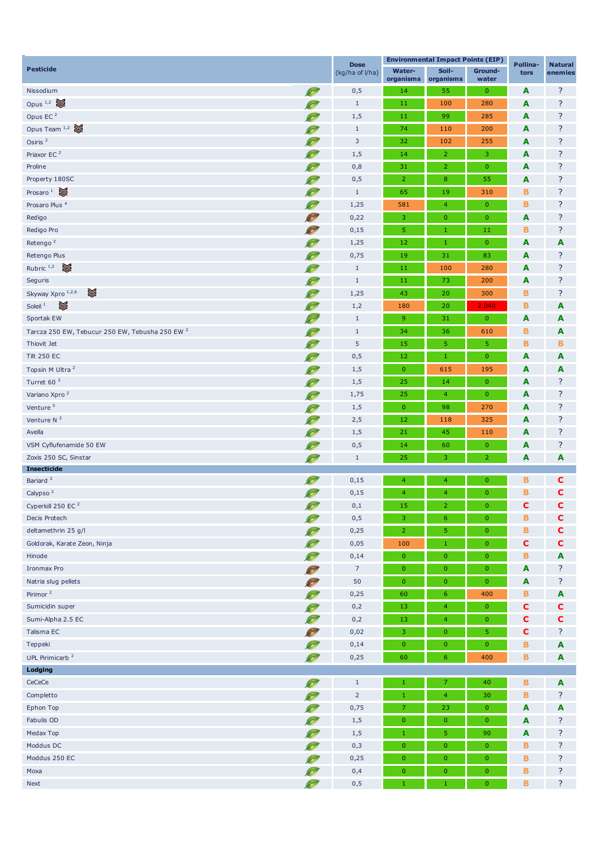| <b>Pesticide</b>                                           |                                   | <b>Dose</b><br>(kg/ha of l/ha) |                     | <b>Environmental Impact Points (EIP)</b> | Pollina-         | <b>Natural</b> |         |
|------------------------------------------------------------|-----------------------------------|--------------------------------|---------------------|------------------------------------------|------------------|----------------|---------|
|                                                            |                                   |                                | Water-<br>organisms | Soil-<br>organisms                       | Ground-<br>water | tors           | enemies |
| Nissodium                                                  | O                                 | 0,5                            | 14                  | 55                                       | $\mathbf{0}$     | A              | ?       |
| Opus $1,2$                                                 | <b>So</b>                         | $\mathbf{1}$                   | 11                  | 100                                      | 280              | A              | ?       |
| Opus EC <sup>2</sup>                                       |                                   | 1,5                            | 11                  | 99                                       | 285              | A              | ?       |
| Opus Team $1,2$                                            |                                   | $\mathbf{1}$                   | 74                  | 110                                      | 200              | A              | ?       |
| Osiris <sup>2</sup>                                        |                                   | $\mathbf{3}$                   | 32                  | 102                                      | 255              | A              | ?       |
| Priaxor EC <sup>2</sup>                                    |                                   | 1,5                            | 14                  | $\overline{2}$                           | 3                | A              | ?       |
| Proline                                                    | $\sim$                            | 0,8                            | 31                  | $\overline{2}$                           | $\mathbf{0}$     | A              | ?       |
| Property 180SC                                             | Ø                                 | 0,5                            | $\overline{2}$      | $\bf 8$                                  | 55               | A              | ?       |
| Prosaro $1$                                                | $\bullet$                         | $\mathbf{1}$                   | 65                  | 19                                       | 310              | в              | ?       |
| Prosaro Plus <sup>4</sup>                                  | $\sim$                            | 1,25                           | 581                 | $\overline{4}$                           | $\mathbf{0}$     | в              | ?       |
| Redigo                                                     | <b>SO</b>                         | 0,22                           | 3                   | $\pmb{0}$                                | $\mathbf{0}$     | A              | ?       |
| Redigo Pro                                                 |                                   | 0,15                           | 5                   | $\mathbf{1}$                             | 11               | в              | ?       |
| Retengo <sup>2</sup>                                       |                                   | 1,25                           | 12                  | $\mathbf{1}$                             | $\pmb{0}$        | A              | A       |
| Retengo Plus                                               |                                   | 0,75                           | 19                  | 31                                       | 83               | A              | ?       |
| Rubric $1,2$                                               | $\sim$                            | $\mathbf{1}$                   | 11                  | 100                                      | 280              | A              | ?       |
| Seguris                                                    | Ø                                 | $\mathbf{1}$                   | 11                  | 73                                       | 200              | A              | ?       |
| X<br>Skyway Xpro 1,2,6                                     | $\sim$                            | 1,25                           | 43                  | 20                                       | 300              | в              | ?       |
| ☀<br>Soleil $1$                                            | $\bullet$                         | 1,2                            | 180                 | 20                                       | 2.040            | B              | A       |
| Sportak EW                                                 |                                   | $\mathbf{1}$                   | 9                   | 31                                       | $\mathbf{0}$     | A              | A       |
| Tarcza 250 EW, Tebucur 250 EW, Tebusha 250 EW <sup>2</sup> |                                   | $\mathbf{1}$                   | 34                  | 36                                       | 610              | в              | A       |
| Thiovit Jet                                                |                                   | 5                              | 15                  | 5                                        | 5                | в              | в       |
| <b>Tilt 250 EC</b>                                         |                                   | 0,5                            | 12                  | $1\,$                                    | $\mathbf{0}$     | A              | A       |
| Topsin M Ultra <sup>2</sup>                                |                                   | 1,5                            | $\overline{0}$      | 615                                      | 195              | A              | A       |
| Turret 60 <sup>2</sup>                                     |                                   | 1,5                            | 25                  | 14                                       | $\pmb{0}$        | A              | ?       |
| Variano Xpro <sup>2</sup>                                  |                                   | 1,75                           | 25                  | $\overline{4}$                           | $\mathbf{0}$     | A              | ?       |
| Venture <sup>5</sup>                                       |                                   | 1,5                            | $\overline{0}$      | 98                                       | 270              | A              | ?       |
| Venture $N2$                                               |                                   | 2,5                            | 12                  | 118                                      | 325              | A              | ?       |
| Avella                                                     |                                   | 1,5                            | 21                  | 45                                       | 110              | A              | ?       |
| VSM Cyflufenamide 50 EW                                    | $\bullet$                         | 0,5                            | 14                  | 60                                       | $\overline{0}$   | A              | ?       |
| Zoxis 250 SC, Sinstar                                      |                                   | $\mathbf{1}$                   | 25                  | 3                                        | $\overline{2}$   | A              | A       |
| <b>Insecticide</b>                                         | Ø                                 |                                |                     |                                          |                  |                |         |
| Bariard <sup>2</sup>                                       | S                                 | 0,15                           | $\overline{4}$      | 4                                        | $\mathbf{0}$     | в              | с       |
| Calypso <sup>2</sup>                                       | S                                 | 0,15                           | $\overline{4}$      | $\overline{4}$                           | $\mathbf{0}$     | B              | C       |
| Cyperkill 250 EC <sup>2</sup>                              | O                                 | 0,1                            | 15                  | $\overline{2}$                           | $\mathbf{0}$     | C              | C       |
| Decis Protech                                              | O                                 | $\mathbf{0}, \mathbf{5}$       | 3                   | $6 \overline{6}$                         | $\mathbf{0}$     | В              | C       |
| deltamethrin 25 g/l                                        | <b>S</b>                          | 0,25                           | $\overline{2}$      | 5                                        | $\pmb{0}$        | B              | C       |
| Goldorak, Karate Zeon, Ninja                               | $\sim$                            | 0,05                           | 100                 | $1\,$                                    | $\pmb{0}$        | C              | c       |
| Hinode                                                     | Ø,                                | 0,14                           | $\mathbf{0}$        | $\pmb{0}$                                | $\mathbf{0}$     | в              | A       |
| <b>Ironmax Pro</b>                                         | <b>SO</b>                         | $\overline{z}$                 | $\overline{0}$      | $\mathbf 0$                              | $\mathbf{0}$     | A              | ?       |
| Natria slug pellets                                        |                                   | 50                             | $\mathbf{0}$        | $\mathbf 0$                              | $\mathbf 0$      | A              | ?       |
| Pirimor $^2$                                               |                                   | 0,25                           | 60                  | $\boldsymbol{6}$                         | 400              | В              | A       |
| Sumicidin super                                            | $\sim$                            | 0,2                            | 13                  | $\overline{4}$                           | $\mathbf{0}$     | c              | c       |
| Sumi-Alpha 2.5 EC                                          | $\bullet$                         | 0,2                            | $13\,$              | $\overline{4}$                           | $\pmb{0}$        | C              | c       |
| Talisma EC                                                 | S                                 | 0,02                           | 3                   | $\mathbf 0$                              | 5                | C              | ?       |
| Teppeki                                                    | S                                 | 0,14                           | $\mathbf{0}$        | $\mathbf{O}$                             | $\mathbf{0}$     | B              | A       |
| UPL Pirimicarb <sup>2</sup>                                | O                                 | 0,25                           | 60                  | $6 \overline{6}$                         | 400              | B              | A       |
| Lodging                                                    |                                   |                                |                     |                                          |                  |                |         |
| CeCeCe                                                     | <b>ST</b>                         | $\mathbf{1}$                   | $\,1\,$             | 7                                        | 40               | в              | A       |
| Completto                                                  |                                   | $\overline{2}$                 | $1\,$               | $\overline{4}$                           | 30               | в              | ?       |
| Ephon Top                                                  |                                   | 0,75                           | 7                   | 23                                       | $\mathbf{0}$     | A              | A       |
| Fabulis OD                                                 |                                   | 1,5                            | $\mathbf{0}$        | $\mathbf{O}$                             | $\mathbf 0$      | A              | ?       |
| Medax Top                                                  |                                   | 1,5                            | $1\,$               | 5                                        | 90               | A              | ?       |
| Moddus DC                                                  | $\sim$                            | 0,3                            | $\mathbf 0$         | $\mathbf 0$                              | $\overline{0}$   | в              | ?       |
| Moddus 250 EC                                              | $\bullet$                         | 0,25                           | $\pmb{0}$           | $\bf{0}$                                 | $\mathbf{0}$     | в              | ?       |
| Moxa                                                       | S                                 | 0,4                            | $\mathbf 0$         | $\mathbf{0}$                             | $\mathbf{0}$     | В              | ?       |
| Next                                                       | <b>Contract Contract Contract</b> | $\mathbf{0}, \mathbf{5}$       | $\mathbf{1}$        | $\mathbf{1}$                             | $\mathbf{0}$     | в              | ?       |
|                                                            |                                   |                                |                     |                                          |                  |                |         |